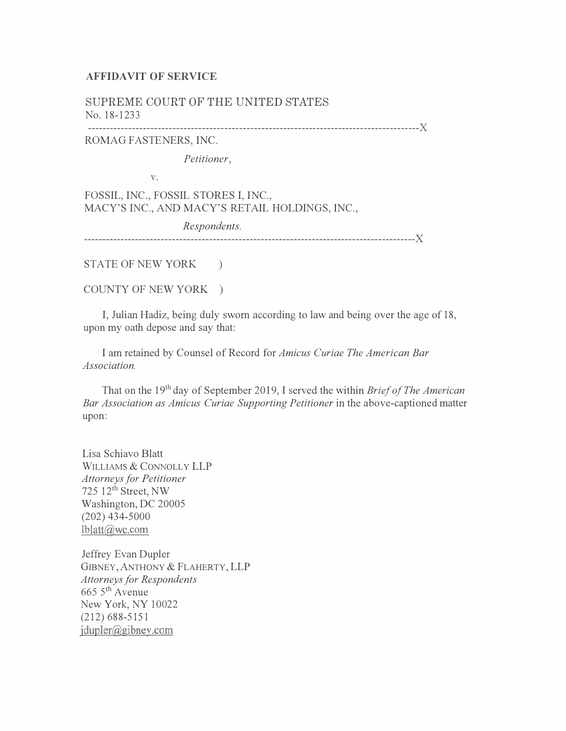## AFFIDAVIT OF SERVICE

SUPREME COURT OF THE UNITED STATES No. 18-1233

------------------------------------------------------------------------------------------)(

ROMAG FASTENERS, INC.

Petitioner,

v.

FOSSIL, INC., FOSSIL STORES I, INC., MACY'S INC., AND MACY'S RETAIL HOLDINGS, INC.,

Respondents.

------------------------------------------------------------------------------------------)(

STATE OF NEW YORK )

COUNTY OF NEW YORK )

I, Julian Hadiz, being duly sworn according to law and being over the age of 18, upon my oath depose and say that:

I am retained by Counsel of Record for Amicus Curiae The American Bar Association.

That on the 19<sup>th</sup> day of September 2019, I served the within *Brief of The American* Bar Association as Amicus Curiae Supporting Petitioner in the above-captioned matter upon:

Lisa Schiavo Blatt WILLIAMS & CONNOLLY LLP Attorneys for Petitioner 725 12th Street, NW Washington, DC 20005 (202) 434-5000 lblatt@wc.com

Jeffrey Evan Dupler GIBNEY, ANTHONY & FLAHERTY, LLP Attorneys for Respondents  $665\,5^{\text{th}}$  Avenue New York, NY 10022 (212) 688-5151 jdupler@gibney.com